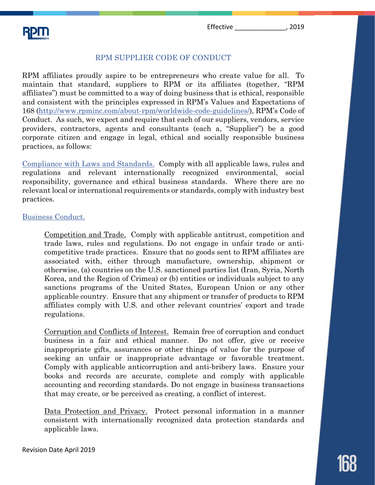Effective \_\_\_\_\_\_\_\_\_\_\_\_\_\_, 2019

# RPM SUPPLIER CODE OF CONDUCT

RPM affiliates proudly aspire to be entrepreneurs who create value for all. To maintain that standard, suppliers to RPM or its affiliates (together, "RPM affiliates") must be committed to a way of doing business that is ethical, responsible and consistent with the principles expressed in RPM's Values and Expectations of 168 (http://www.rpminc.com/about-rpm/worldwide-code-guidelines/), RPM's Code of Conduct. As such, we expect and require that each of our suppliers, vendors, service providers, contractors, agents and consultants (each a, "Supplier") be a good corporate citizen and engage in legal, ethical and socially responsible business practices, as follows:

Compliance with Laws and Standards. Comply with all applicable laws, rules and regulations and relevant internationally recognized environmental, social responsibility, governance and ethical business standards. Where there are no relevant local or international requirements or standards, comply with industry best practices.

## Business Conduct.

Competition and Trade. Comply with applicable antitrust, competition and trade laws, rules and regulations. Do not engage in unfair trade or anticompetitive trade practices. Ensure that no goods sent to RPM affiliates are associated with, either through manufacture, ownership, shipment or otherwise, (a) countries on the U.S. sanctioned parties list (Iran, Syria, North Korea, and the Region of Crimea) or (b) entities or individuals subject to any sanctions programs of the United States, European Union or any other applicable country. Ensure that any shipment or transfer of products to RPM affiliates comply with U.S. and other relevant countries' export and trade regulations.

Corruption and Conflicts of Interest. Remain free of corruption and conduct business in a fair and ethical manner. Do not offer, give or receive inappropriate gifts, assurances or other things of value for the purpose of seeking an unfair or inappropriate advantage or favorable treatment. Comply with applicable anticorruption and anti-bribery laws. Ensure your books and records are accurate, complete and comply with applicable accounting and recording standards. Do not engage in business transactions that may create, or be perceived as creating, a conflict of interest.

Data Protection and Privacy. Protect personal information in a manner consistent with internationally recognized data protection standards and applicable laws.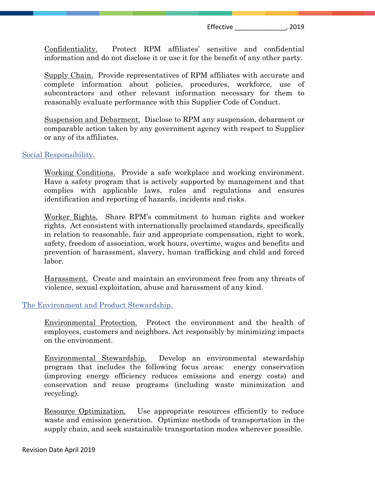Confidentiality. Protect RPM affiliates' sensitive and confidential information and do not disclose it or use it for the benefit of any other party.

Supply Chain. Provide representatives of RPM affiliates with accurate and complete information about policies, procedures, workforce, use of subcontractors and other relevant information necessary for them to reasonably evaluate performance with this Supplier Code of Conduct.

Suspension and Debarment. Disclose to RPM any suspension, debarment or comparable action taken by any government agency with respect to Supplier or any of its affiliates.

#### Social Responsibility.

Working Conditions. Provide a safe workplace and working environment. Have a safety program that is actively supported by management and that complies with applicable laws, rules and regulations and ensures identification and reporting of hazards, incidents and risks.

Worker Rights. Share RPM's commitment to human rights and worker rights. Act consistent with internationally proclaimed standards, specifically in relation to reasonable, fair and appropriate compensation, right to work, safety, freedom of association, work hours, overtime, wages and benefits and prevention of harassment, slavery, human trafficking and child and forced labor.

Harassment. Create and maintain an environment free from any threats of violence, sexual exploitation, abuse and harassment of any kind.

#### The Environment and Product Stewardship.

Environmental Protection. Protect the environment and the health of employees, customers and neighbors. Act responsibly by minimizing impacts on the environment.

Environmental Stewardship. Develop an environmental stewardship program that includes the following focus areas: energy conservation (improving energy efficiency reduces emissions and energy costs) and conservation and reuse programs (including waste minimization and recycling).

Resource Optimization. Use appropriate resources efficiently to reduce waste and emission generation. Optimize methods of transportation in the supply chain, and seek sustainable transportation modes wherever possible.